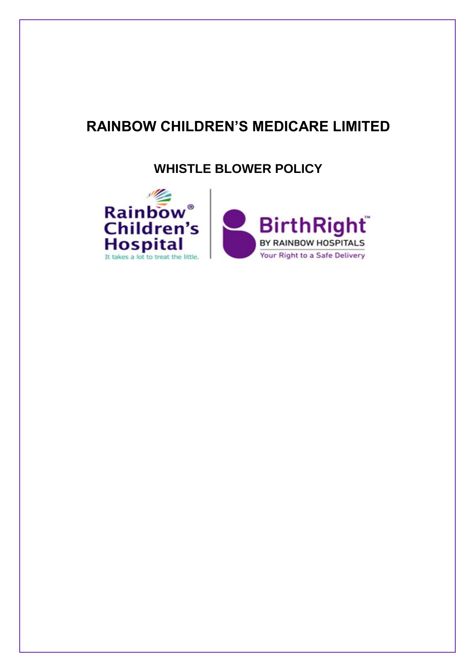# **RAINBOW CHILDREN'S MEDICARE LIMITED**

**WHISTLE BLOWER POLICY**

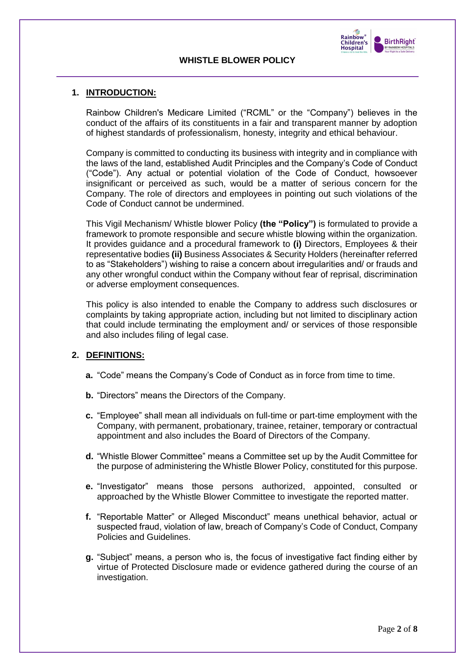



## **1. INTRODUCTION:**

Rainbow Children's Medicare Limited ("RCML" or the "Company") believes in the conduct of the affairs of its constituents in a fair and transparent manner by adoption of highest standards of professionalism, honesty, integrity and ethical behaviour.

Company is committed to conducting its business with integrity and in compliance with the laws of the land, established Audit Principles and the Company's Code of Conduct ("Code"). Any actual or potential violation of the Code of Conduct, howsoever insignificant or perceived as such, would be a matter of serious concern for the Company. The role of directors and employees in pointing out such violations of the Code of Conduct cannot be undermined.

This Vigil Mechanism/ Whistle blower Policy **(the "Policy")** is formulated to provide a framework to promote responsible and secure whistle blowing within the organization. It provides guidance and a procedural framework to **(i)** Directors, Employees & their representative bodies **(ii)** Business Associates & Security Holders (hereinafter referred to as "Stakeholders") wishing to raise a concern about irregularities and/ or frauds and any other wrongful conduct within the Company without fear of reprisal, discrimination or adverse employment consequences.

This policy is also intended to enable the Company to address such disclosures or complaints by taking appropriate action, including but not limited to disciplinary action that could include terminating the employment and/ or services of those responsible and also includes filing of legal case.

## **2. DEFINITIONS:**

- **a.** "Code" means the Company's Code of Conduct as in force from time to time.
- **b.** "Directors" means the Directors of the Company.
- **c.** "Employee" shall mean all individuals on full-time or part-time employment with the Company, with permanent, probationary, trainee, retainer, temporary or contractual appointment and also includes the Board of Directors of the Company.
- **d.** "Whistle Blower Committee" means a Committee set up by the Audit Committee for the purpose of administering the Whistle Blower Policy, constituted for this purpose.
- **e.** "Investigator" means those persons authorized, appointed, consulted or approached by the Whistle Blower Committee to investigate the reported matter.
- **f.** "Reportable Matter" or Alleged Misconduct" means unethical behavior, actual or suspected fraud, violation of law, breach of Company's Code of Conduct, Company Policies and Guidelines.
- **g.** "Subject" means, a person who is, the focus of investigative fact finding either by virtue of Protected Disclosure made or evidence gathered during the course of an investigation.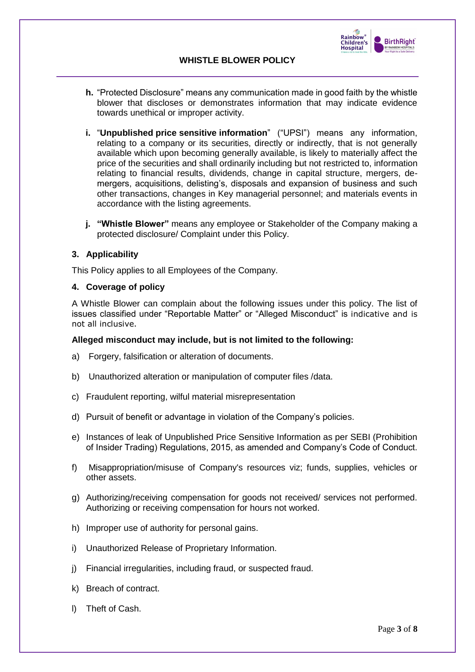

- **h.** "Protected Disclosure" means any communication made in good faith by the whistle blower that discloses or demonstrates information that may indicate evidence towards unethical or improper activity.
- **i.** "**Unpublished price sensitive information**" ("UPSI") means any information, relating to a company or its securities, directly or indirectly, that is not generally available which upon becoming generally available, is likely to materially affect the price of the securities and shall ordinarily including but not restricted to, information relating to financial results, dividends, change in capital structure, mergers, demergers, acquisitions, delisting's, disposals and expansion of business and such other transactions, changes in Key managerial personnel; and materials events in accordance with the listing agreements.
- **j. "Whistle Blower"** means any employee or Stakeholder of the Company making a protected disclosure/ Complaint under this Policy.

#### **3. Applicability**

This Policy applies to all Employees of the Company.

#### **4. Coverage of policy**

A Whistle Blower can complain about the following issues under this policy. The list of issues classified under "Reportable Matter" or "Alleged Misconduct" is indicative and is not all inclusive.

#### **Alleged misconduct may include, but is not limited to the following:**

- a) Forgery, falsification or alteration of documents.
- b) Unauthorized alteration or manipulation of computer files /data.
- c) Fraudulent reporting, wilful material misrepresentation
- d) Pursuit of benefit or advantage in violation of the Company's policies.
- e) Instances of leak of Unpublished Price Sensitive Information as per SEBI (Prohibition of Insider Trading) Regulations, 2015, as amended and Company's Code of Conduct.
- f) Misappropriation/misuse of Company's resources viz; funds, supplies, vehicles or other assets.
- g) Authorizing/receiving compensation for goods not received/ services not performed. Authorizing or receiving compensation for hours not worked.
- h) Improper use of authority for personal gains.
- i) Unauthorized Release of Proprietary Information.
- j) Financial irregularities, including fraud, or suspected fraud.
- k) Breach of contract.
- l) Theft of Cash.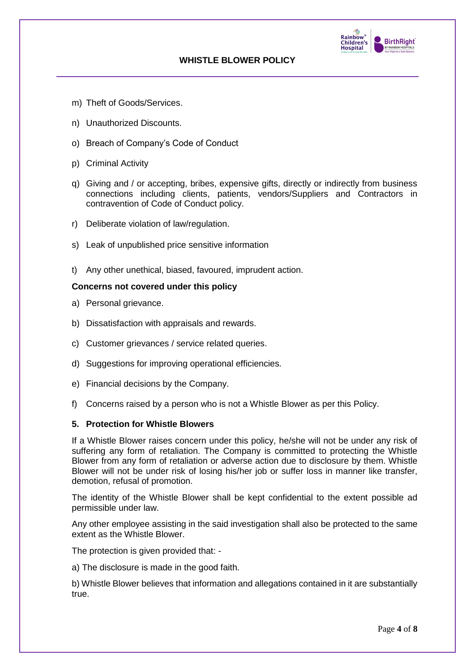

- m) Theft of Goods/Services.
- n) Unauthorized Discounts.
- o) Breach of Company's Code of Conduct
- p) Criminal Activity
- q) Giving and / or accepting, bribes, expensive gifts, directly or indirectly from business connections including clients, patients, vendors/Suppliers and Contractors in contravention of Code of Conduct policy.
- r) Deliberate violation of law/regulation.
- s) Leak of unpublished price sensitive information
- t) Any other unethical, biased, favoured, imprudent action.

#### **Concerns not covered under this policy**

- a) Personal grievance.
- b) Dissatisfaction with appraisals and rewards.
- c) Customer grievances / service related queries.
- d) Suggestions for improving operational efficiencies.
- e) Financial decisions by the Company.
- f) Concerns raised by a person who is not a Whistle Blower as per this Policy.

## **5. Protection for Whistle Blowers**

If a Whistle Blower raises concern under this policy, he/she will not be under any risk of suffering any form of retaliation. The Company is committed to protecting the Whistle Blower from any form of retaliation or adverse action due to disclosure by them. Whistle Blower will not be under risk of losing his/her job or suffer loss in manner like transfer, demotion, refusal of promotion.

The identity of the Whistle Blower shall be kept confidential to the extent possible ad permissible under law.

Any other employee assisting in the said investigation shall also be protected to the same extent as the Whistle Blower.

The protection is given provided that: -

a) The disclosure is made in the good faith.

b) Whistle Blower believes that information and allegations contained in it are substantially true.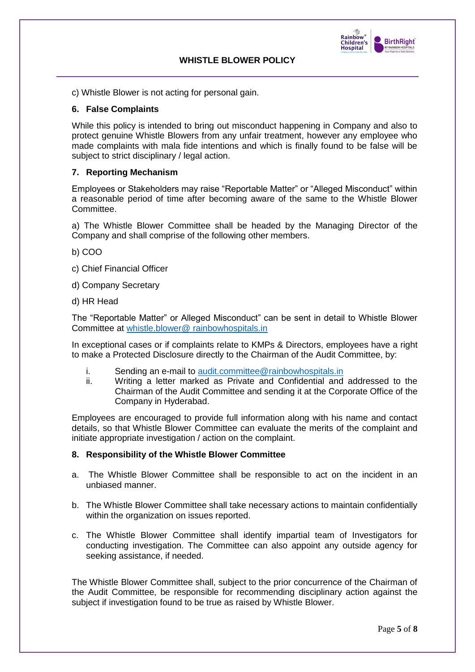

c) Whistle Blower is not acting for personal gain.

#### **6. False Complaints**

While this policy is intended to bring out misconduct happening in Company and also to protect genuine Whistle Blowers from any unfair treatment, however any employee who made complaints with mala fide intentions and which is finally found to be false will be subject to strict disciplinary / legal action.

#### **7. Reporting Mechanism**

Employees or Stakeholders may raise "Reportable Matter" or "Alleged Misconduct" within a reasonable period of time after becoming aware of the same to the Whistle Blower Committee.

a) The Whistle Blower Committee shall be headed by the Managing Director of the Company and shall comprise of the following other members.

b) COO

- c) Chief Financial Officer
- d) Company Secretary
- d) HR Head

The "Reportable Matter" or Alleged Misconduct" can be sent in detail to Whistle Blower Committee at whistle.blower@ rainbowhospitals.in

In exceptional cases or if complaints relate to KMPs & Directors, employees have a right to make a Protected Disclosure directly to the Chairman of the Audit Committee, by:

- i. Sending an e-mail to [audit.committee@rainbowhospitals.in](mailto:audit.committee@rainbowhospitals.in)
- ii. Writing a letter marked as Private and Confidential and addressed to the Chairman of the Audit Committee and sending it at the Corporate Office of the Company in Hyderabad.

Employees are encouraged to provide full information along with his name and contact details, so that Whistle Blower Committee can evaluate the merits of the complaint and initiate appropriate investigation / action on the complaint.

#### **8. Responsibility of the Whistle Blower Committee**

- a. The Whistle Blower Committee shall be responsible to act on the incident in an unbiased manner.
- b. The Whistle Blower Committee shall take necessary actions to maintain confidentially within the organization on issues reported.
- c. The Whistle Blower Committee shall identify impartial team of Investigators for conducting investigation. The Committee can also appoint any outside agency for seeking assistance, if needed.

The Whistle Blower Committee shall, subject to the prior concurrence of the Chairman of the Audit Committee, be responsible for recommending disciplinary action against the subject if investigation found to be true as raised by Whistle Blower.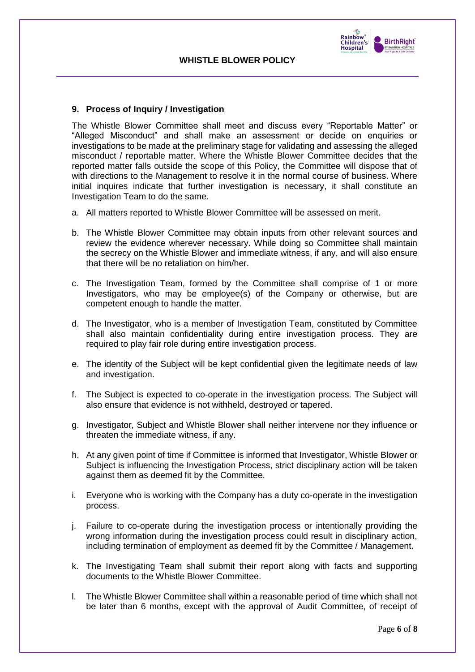

#### **9. Process of Inquiry / Investigation**

The Whistle Blower Committee shall meet and discuss every "Reportable Matter" or "Alleged Misconduct" and shall make an assessment or decide on enquiries or investigations to be made at the preliminary stage for validating and assessing the alleged misconduct / reportable matter. Where the Whistle Blower Committee decides that the reported matter falls outside the scope of this Policy, the Committee will dispose that of with directions to the Management to resolve it in the normal course of business. Where initial inquires indicate that further investigation is necessary, it shall constitute an Investigation Team to do the same.

- a. All matters reported to Whistle Blower Committee will be assessed on merit.
- b. The Whistle Blower Committee may obtain inputs from other relevant sources and review the evidence wherever necessary. While doing so Committee shall maintain the secrecy on the Whistle Blower and immediate witness, if any, and will also ensure that there will be no retaliation on him/her.
- c. The Investigation Team, formed by the Committee shall comprise of 1 or more Investigators, who may be employee(s) of the Company or otherwise, but are competent enough to handle the matter.
- d. The Investigator, who is a member of Investigation Team, constituted by Committee shall also maintain confidentiality during entire investigation process. They are required to play fair role during entire investigation process.
- e. The identity of the Subject will be kept confidential given the legitimate needs of law and investigation.
- f. The Subject is expected to co-operate in the investigation process. The Subject will also ensure that evidence is not withheld, destroyed or tapered.
- g. Investigator, Subject and Whistle Blower shall neither intervene nor they influence or threaten the immediate witness, if any.
- h. At any given point of time if Committee is informed that Investigator, Whistle Blower or Subject is influencing the Investigation Process, strict disciplinary action will be taken against them as deemed fit by the Committee.
- i. Everyone who is working with the Company has a duty co-operate in the investigation process.
- j. Failure to co-operate during the investigation process or intentionally providing the wrong information during the investigation process could result in disciplinary action, including termination of employment as deemed fit by the Committee / Management.
- k. The Investigating Team shall submit their report along with facts and supporting documents to the Whistle Blower Committee.
- l. The Whistle Blower Committee shall within a reasonable period of time which shall not be later than 6 months, except with the approval of Audit Committee, of receipt of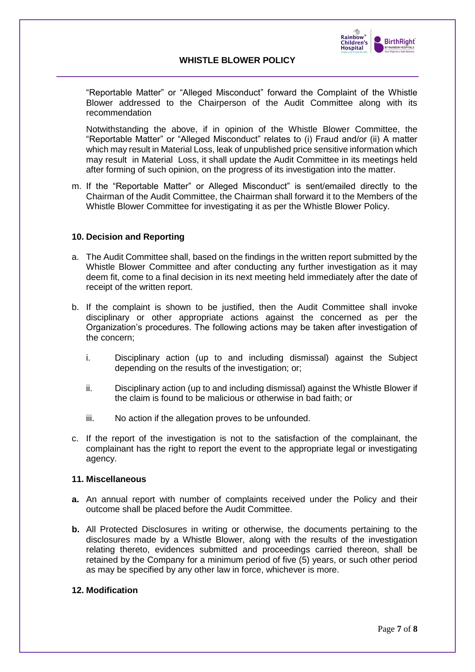

"Reportable Matter" or "Alleged Misconduct" forward the Complaint of the Whistle Blower addressed to the Chairperson of the Audit Committee along with its recommendation

Notwithstanding the above, if in opinion of the Whistle Blower Committee, the "Reportable Matter" or "Alleged Misconduct" relates to (i) Fraud and/or (ii) A matter which may result in Material Loss, leak of unpublished price sensitive information which may result in Material Loss, it shall update the Audit Committee in its meetings held after forming of such opinion, on the progress of its investigation into the matter.

m. If the "Reportable Matter" or Alleged Misconduct" is sent/emailed directly to the Chairman of the Audit Committee, the Chairman shall forward it to the Members of the Whistle Blower Committee for investigating it as per the Whistle Blower Policy.

## **10. Decision and Reporting**

- a. The Audit Committee shall, based on the findings in the written report submitted by the Whistle Blower Committee and after conducting any further investigation as it may deem fit, come to a final decision in its next meeting held immediately after the date of receipt of the written report.
- b. If the complaint is shown to be justified, then the Audit Committee shall invoke disciplinary or other appropriate actions against the concerned as per the Organization's procedures. The following actions may be taken after investigation of the concern;
	- i. Disciplinary action (up to and including dismissal) against the Subject depending on the results of the investigation; or;
	- ii. Disciplinary action (up to and including dismissal) against the Whistle Blower if the claim is found to be malicious or otherwise in bad faith; or
	- iii. No action if the allegation proves to be unfounded.
- c. If the report of the investigation is not to the satisfaction of the complainant, the complainant has the right to report the event to the appropriate legal or investigating agency.

#### **11. Miscellaneous**

- **a.** An annual report with number of complaints received under the Policy and their outcome shall be placed before the Audit Committee.
- **b.** All Protected Disclosures in writing or otherwise, the documents pertaining to the disclosures made by a Whistle Blower, along with the results of the investigation relating thereto, evidences submitted and proceedings carried thereon, shall be retained by the Company for a minimum period of five (5) years, or such other period as may be specified by any other law in force, whichever is more.

# **12. Modification**